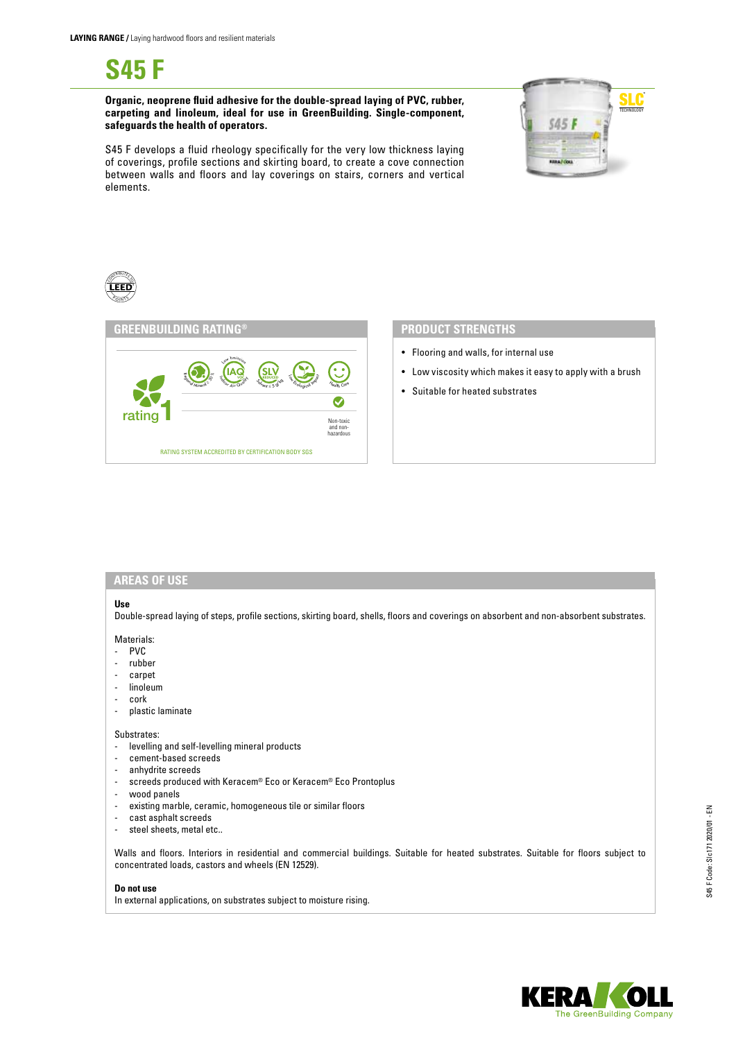**S45 F**

**Organic, neoprene fluid adhesive for the double-spread laying of PVC, rubber, carpeting and linoleum, ideal for use in GreenBuilding. Single-component, safeguards the health of operators.**









- Flooring and walls, for internal use
- Low viscosity which makes it easy to apply with a brush
- Suitable for heated substrates

#### **AREAS OF USE**

## **Use**

Double-spread laying of steps, profile sections, skirting board, shells, floors and coverings on absorbent and non-absorbent substrates.

- Materials:
- PVC
- rubber
- carpet
- linoleum
- cork
- plastic laminate

# Substrates:

- levelling and self-levelling mineral products
- cement-based screeds
- anhydrite screeds
- screeds produced with Keracem® Eco or Keracem® Eco Prontoplus
- wood panels
- existing marble, ceramic, homogeneous tile or similar floors
- cast asphalt screeds
- steel sheets, metal etc..

Walls and floors. Interiors in residential and commercial buildings. Suitable for heated substrates. Suitable for floors subject to concentrated loads, castors and wheels (EN 12529).

### **Do not use**

In external applications, on substrates subject to moisture rising.

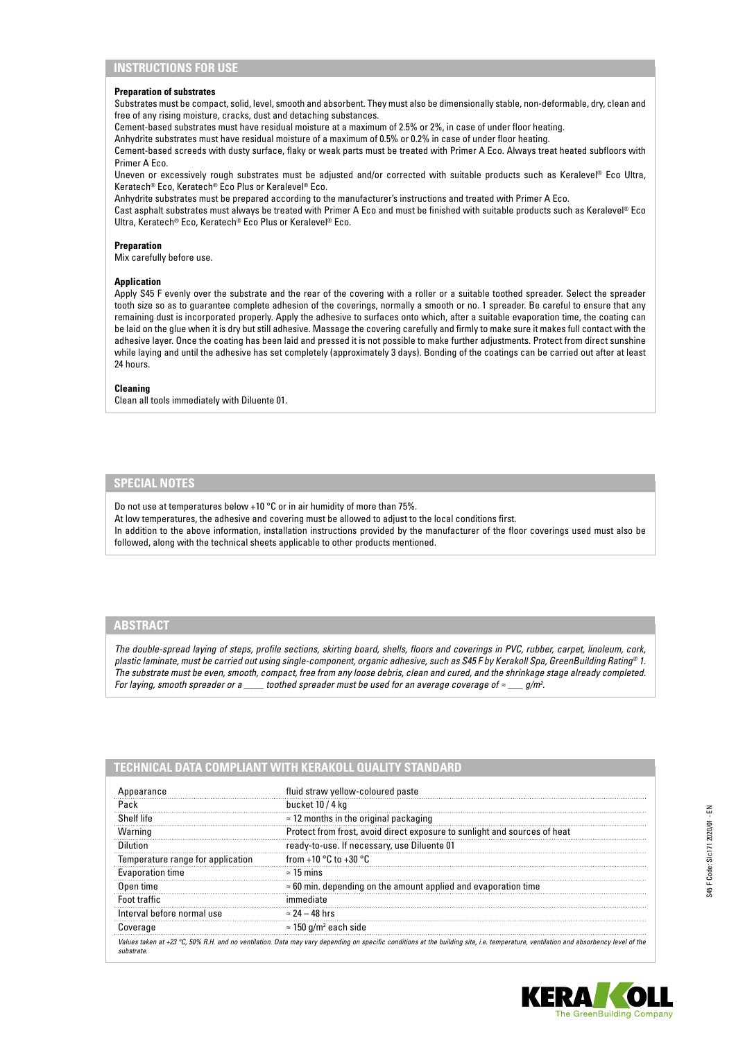# **INSTRUCTIONS FOR USE**

#### **Preparation of substrates**

Substrates must be compact, solid, level, smooth and absorbent. They must also be dimensionally stable, non-deformable, dry, clean and free of any rising moisture, cracks, dust and detaching substances.

Cement-based substrates must have residual moisture at a maximum of 2.5% or 2%, in case of under floor heating.

Anhydrite substrates must have residual moisture of a maximum of 0.5% or 0.2% in case of under floor heating.

Cement-based screeds with dusty surface, flaky or weak parts must be treated with Primer A Eco. Always treat heated subfloors with Primer A Eco.

Uneven or excessively rough substrates must be adjusted and/or corrected with suitable products such as Keralevel® Eco Ultra, Keratech® Eco, Keratech® Eco Plus or Keralevel® Eco.

Anhydrite substrates must be prepared according to the manufacturer's instructions and treated with Primer A Eco.

Cast asphalt substrates must always be treated with Primer A Eco and must be finished with suitable products such as Keralevel® Eco Ultra, Keratech® Eco, Keratech® Eco Plus or Keralevel® Eco.

#### **Preparation**

Mix carefully before use.

### **Application**

Apply S45 F evenly over the substrate and the rear of the covering with a roller or a suitable toothed spreader. Select the spreader tooth size so as to guarantee complete adhesion of the coverings, normally a smooth or no. 1 spreader. Be careful to ensure that any remaining dust is incorporated properly. Apply the adhesive to surfaces onto which, after a suitable evaporation time, the coating can be laid on the glue when it is dry but still adhesive. Massage the covering carefully and firmly to make sure it makes full contact with the adhesive layer. Once the coating has been laid and pressed it is not possible to make further adjustments. Protect from direct sunshine while laying and until the adhesive has set completely (approximately 3 days). Bonding of the coatings can be carried out after at least 24 hours.

#### **Cleaning**

Clean all tools immediately with Diluente 01.

# **SPECIAL NOTES**

Do not use at temperatures below +10 °C or in air humidity of more than 75%.

At low temperatures, the adhesive and covering must be allowed to adjust to the local conditions first. In addition to the above information, installation instructions provided by the manufacturer of the floor coverings used must also be followed, along with the technical sheets applicable to other products mentioned.

## **ABSTRACT**

*The double-spread laying of steps, profile sections, skirting board, shells, floors and coverings in PVC, rubber, carpet, linoleum, cork, plastic laminate, must be carried out using single-component, organic adhesive, such as S45 F by Kerakoll Spa, GreenBuilding Rating® 1. The substrate must be even, smooth, compact, free from any loose debris, clean and cured, and the shrinkage stage already completed. For laying, smooth spreader or a \_\_\_\_ toothed spreader must be used for an average coverage of ≈ \_\_\_ g/m2 .*

# **TECHNICAL DATA COMPLIANT WITH KERAKOLL QUALITY STANDARD**

| Appearance                        | fluid straw yellow-coloured paste                                                                                                                                                   |
|-----------------------------------|-------------------------------------------------------------------------------------------------------------------------------------------------------------------------------------|
| Pack                              | bucket 10 / 4 kg                                                                                                                                                                    |
| Shelf life                        | $\approx$ 12 months in the original packaging                                                                                                                                       |
| Warning                           | Protect from frost, avoid direct exposure to sunlight and sources of heat                                                                                                           |
| Dilution                          | ready-to-use. If necessary, use Diluente 01                                                                                                                                         |
| Temperature range for application | from +10 $^{\circ}$ C to +30 $^{\circ}$ C                                                                                                                                           |
| Evaporation time                  | $\approx$ 15 mins                                                                                                                                                                   |
| Open time                         | $\approx$ 60 min. depending on the amount applied and evaporation time                                                                                                              |
| Foot traffic                      |                                                                                                                                                                                     |
| Interval before normal use        | $\approx$ 24 – 48 hrs                                                                                                                                                               |
| Coverage                          | $\approx$ 150 g/m <sup>2</sup> each side                                                                                                                                            |
| substrate                         | Values taken at +23 °C, 50% R.H. and no ventilation. Data may vary depending on specific conditions at the building site, i.e. temperature, ventilation and absorbency level of the |